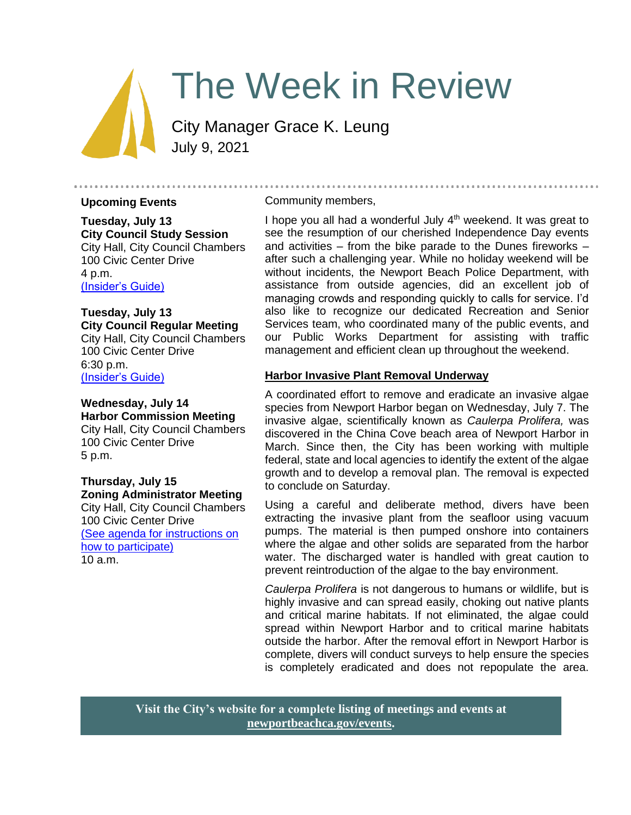# The Week in Review

City Manager Grace K. Leung July 9, 2021

#### **Upcoming Events**

**Tuesday, July 13 City Council Study Session**  City Hall, City Council Chambers 100 Civic Center Drive 4 p.m. [\(Insider's Guide\)](https://newportbeachca.gov/government/departments/city-manager-s-office/insider-s-guide)

**Tuesday, July 13 City Council Regular Meeting** City Hall, City Council Chambers 100 Civic Center Drive 6:30 p.m. [\(Insider's Guide\)](https://newportbeachca.gov/government/departments/city-manager-s-office/insider-s-guide)

## **Wednesday, July 14 Harbor Commission Meeting**

City Hall, City Council Chambers 100 Civic Center Drive 5 p.m.

# **Thursday, July 15 Zoning Administrator Meeting**

City Hall, City Council Chambers 100 Civic Center Drive [\(See agenda for instructions on](https://www.newportbeachca.gov/government/departments/community-development/planning-division/zoning-administrator)  [how to participate\)](https://www.newportbeachca.gov/government/departments/community-development/planning-division/zoning-administrator) 10 a.m.

#### Community members,

I hope you all had a wonderful July 4<sup>th</sup> weekend. It was great to see the resumption of our cherished Independence Day events and activities – from the bike parade to the Dunes fireworks – after such a challenging year. While no holiday weekend will be without incidents, the Newport Beach Police Department, with assistance from outside agencies, did an excellent job of managing crowds and responding quickly to calls for service. I'd also like to recognize our dedicated Recreation and Senior Services team, who coordinated many of the public events, and our Public Works Department for assisting with traffic management and efficient clean up throughout the weekend.

## **Harbor Invasive Plant Removal Underway**

A coordinated effort to remove and eradicate an invasive algae species from Newport Harbor began on Wednesday, July 7. The invasive algae, scientifically known as *Caulerpa Prolifera,* was discovered in the China Cove b*e*ach area of Newport Harbor in March. Since then, the City has been working with multiple federal, state and local agencies to identify the extent of the algae growth and to develop a removal plan. The removal is expected to conclude on Saturday.

Using a careful and deliberate method, divers have been extracting the invasive plant from the seafloor using vacuum pumps. The material is then pumped onshore into containers where the algae and other solids are separated from the harbor water. The discharged water is handled with great caution to prevent reintroduction of the algae to the bay environment.

*Caulerpa Prolifera* is not dangerous to humans or wildlife, but is highly invasive and can spread easily, choking out native plants and critical marine habitats. If not eliminated, the algae could spread within Newport Harbor and to critical marine habitats outside the harbor. After the removal effort in Newport Harbor is complete, divers will conduct surveys to help ensure the species is completely eradicated and does not repopulate the area.

**Visit the City's website for a complete listing of meetings and events at [newportbeachca.gov/events.](https://www.newportbeachca.gov/government/data-hub/city-calendar)**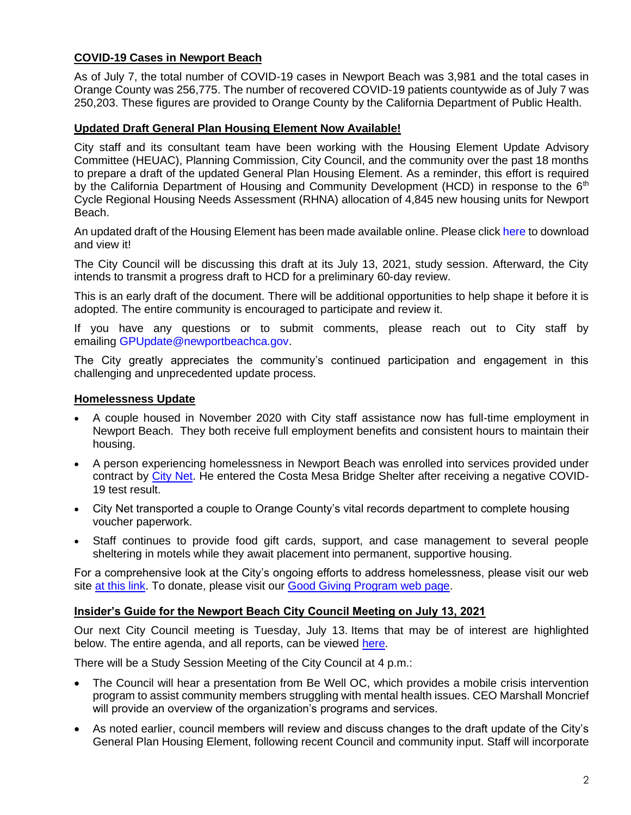# **COVID-19 Cases in Newport Beach**

As of July 7, the total number of COVID-19 cases in Newport Beach was 3,981 and the total cases in Orange County was 256,775. The number of recovered COVID-19 patients countywide as of July 7 was 250,203. These figures are provided to Orange County by the California Department of Public Health.

## **Updated Draft General Plan Housing Element Now Available!**

City staff and its consultant team have been working with the Housing Element Update Advisory Committee (HEUAC), Planning Commission, City Council, and the community over the past 18 months to prepare a draft of the updated General Plan Housing Element. As a reminder, this effort is required by the California Department of Housing and Community Development (HCD) in response to the 6<sup>th</sup> Cycle Regional Housing Needs Assessment (RHNA) allocation of 4,845 new housing units for Newport Beach.

An updated draft of the Housing Element has been made available online. Please click [here](http://www.newportbeachca.gov/DraftHEUpdate) to download and view it!

The City Council will be discussing this draft at its July 13, 2021, study session. Afterward, the City intends to transmit a progress draft to HCD for a preliminary 60-day review.

This is an early draft of the document. There will be additional opportunities to help shape it before it is adopted. The entire community is encouraged to participate and review it.

If you have any questions or to submit comments, please reach out to City staff by emailing [GPUpdate@newportbeachca.gov.](mailto:GPUpdate@newportbeachca.gov)

The City greatly appreciates the community's continued participation and engagement in this challenging and unprecedented update process.

## **Homelessness Update**

- A couple housed in November 2020 with City staff assistance now has full-time employment in Newport Beach. They both receive full employment benefits and consistent hours to maintain their housing.
- A person experiencing homelessness in Newport Beach was enrolled into services provided under contract by [City Net.](https://citynet.org/) He entered the Costa Mesa Bridge Shelter after receiving a negative COVID-19 test result.
- City Net transported a couple to Orange County's vital records department to complete housing voucher paperwork.
- Staff continues to provide food gift cards, support, and case management to several people sheltering in motels while they await placement into permanent, supportive housing.

For a comprehensive look at the City's ongoing efforts to address homelessness, please visit our web site [at this link.](https://www.newportbeachca.gov/trending/community-issues/homelessness) To donate, please visit our [Good Giving Program web page.](https://newportbeachca.gov/trending/community-issues/homelessness/how-you-can-help)

## **Insider's Guide for the Newport Beach City Council Meeting on July 13, 2021**

Our next City Council meeting is Tuesday, July 13. Items that may be of interest are highlighted below. The entire agenda, and all reports, can be viewed [here.](https://newportbeachca.gov/Home/Components/Calendar/Event/64222/72)

There will be a Study Session Meeting of the City Council at 4 p.m.:

- The Council will hear a presentation from Be Well OC, which provides a mobile crisis intervention program to assist community members struggling with mental health issues. CEO Marshall Moncrief will provide an overview of the organization's programs and services.
- As noted earlier, council members will review and discuss changes to the draft update of the City's General Plan Housing Element, following recent Council and community input. Staff will incorporate